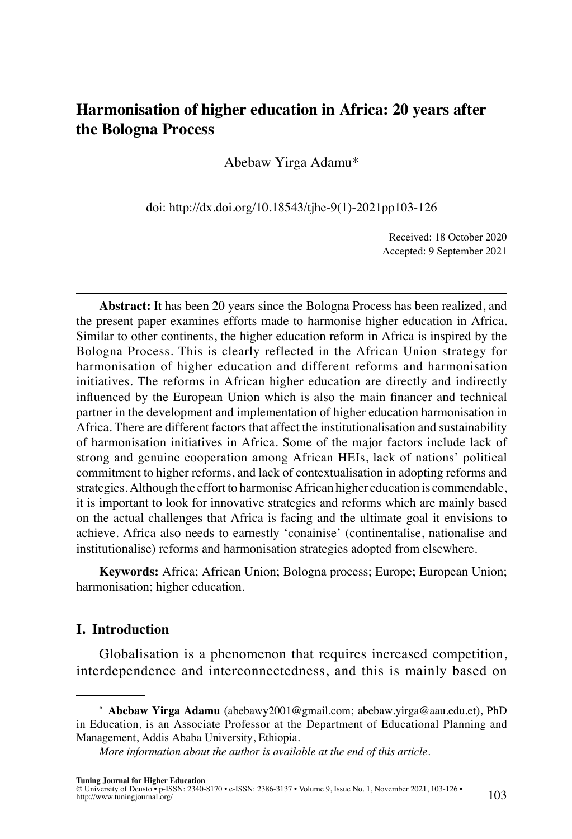# **Harmonisation of higher education in Africa: 20 years after the Bologna Process**

Abebaw Yirga Adamu\*

doi: [http://dx.doi.org/10.18543/tjhe-9\(1\)-2021pp103-126](http://dx.doi.org/10.18543/tjhe-9(1)-2021pp103-126)

Received: 18 October 2020 Accepted: 9 September 2021

**Abstract:** It has been 20 years since the Bologna Process has been realized, and the present paper examines efforts made to harmonise higher education in Africa. Similar to other continents, the higher education reform in Africa is inspired by the Bologna Process. This is clearly reflected in the African Union strategy for harmonisation of higher education and different reforms and harmonisation initiatives. The reforms in African higher education are directly and indirectly influenced by the European Union which is also the main financer and technical partner in the development and implementation of higher education harmonisation in Africa. There are different factors that affect the institutionalisation and sustainability of harmonisation initiatives in Africa. Some of the major factors include lack of strong and genuine cooperation among African HEIs, lack of nations' political commitment to higher reforms, and lack of contextualisation in adopting reforms and strategies. Although the effort to harmonise African higher education is commendable, it is important to look for innovative strategies and reforms which are mainly based on the actual challenges that Africa is facing and the ultimate goal it envisions to achieve. Africa also needs to earnestly 'conainise' (continentalise, nationalise and institutionalise) reforms and harmonisation strategies adopted from elsewhere.

**Keywords:** Africa; African Union; Bologna process; Europe; European Union; harmonisation; higher education.

#### **I. Introduction**

Globalisation is a phenomenon that requires increased competition, interdependence and interconnectedness, and this is mainly based on

**<sup>\*</sup> Abebaw Yirga Adamu** [\(abebawy2001@gmail.com;](mailto:abebawy2001@gmail.com) [abebaw.yirga@aau.edu.et](mailto:abebaw.yirga@aau.edu.et)), PhD in Education, is an Associate Professor at the Department of Educational Planning and Management, Addis Ababa University, Ethiopia.

*[More information about the author is available at the end of this article.](#page-23-0)*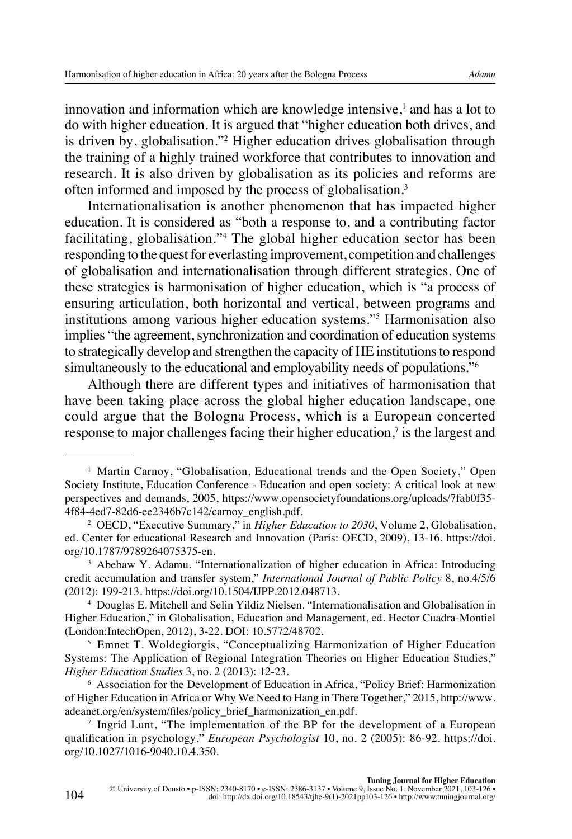innovation and information which are knowledge intensive,<sup>1</sup> and has a lot to do with higher education. It is argued that "higher education both drives, and is driven by, globalisation."2 Higher education drives globalisation through the training of a highly trained workforce that contributes to innovation and research. It is also driven by globalisation as its policies and reforms are often informed and imposed by the process of globalisation.3

Internationalisation is another phenomenon that has impacted higher education. It is considered as "both a response to, and a contributing factor facilitating, globalisation."4 The global higher education sector has been responding to the quest for everlasting improvement, competition and challenges of globalisation and internationalisation through different strategies. One of these strategies is harmonisation of higher education, which is "a process of ensuring articulation, both horizontal and vertical, between programs and institutions among various higher education systems."5 Harmonisation also implies "the agreement, synchronization and coordination of education systems to strategically develop and strengthen the capacity of HE institutions to respond simultaneously to the educational and employability needs of populations.<sup>76</sup>

Although there are different types and initiatives of harmonisation that have been taking place across the global higher education landscape, one could argue that the Bologna Process, which is a European concerted response to major challenges facing their higher education,<sup>7</sup> is the largest and

<sup>1</sup> Martin Carnoy, "Globalisation, Educational trends and the Open Society," Open Society Institute, Education Conference - Education and open society: A critical look at new perspectives and demands, 2005, [https://www.opensocietyfoundations.org/uploads/7fab0f35-](https://www.opensocietyfoundations.org/uploads/7fab0f35-4f84-4ed7-82d6-ee2346b7c142/carnoy_english.pdf) [4f84-4ed7-82d6-ee2346b7c142/carnoy\\_english.pdf](https://www.opensocietyfoundations.org/uploads/7fab0f35-4f84-4ed7-82d6-ee2346b7c142/carnoy_english.pdf).

<sup>2</sup> OECD, "Executive Summary," in *Higher Education to 2030*, Volume 2, Globalisation, ed. Center for educational Research and Innovation (Paris: OECD, 2009), 13-16. [https://doi.](https://doi.org/10.1787/9789264075375-en) [org/10.1787/9789264075375-en.](https://doi.org/10.1787/9789264075375-en)

<sup>3</sup> Abebaw Y. Adamu. "Internationalization of higher education in Africa: Introducing credit accumulation and transfer system," *International Journal of Public Policy* 8, no.4/5/6 (2012): 199-213. [https://doi.org/10.1504/IJPP.2012.048713.](https://doi.org/10.1504/IJPP.2012.048713)

<sup>4</sup> Douglas E. Mitchell and Selin Yildiz Nielsen. "Internationalisation and Globalisation in Higher Education," in Globalisation, Education and Management, ed. Hector Cuadra-Montiel (London:IntechOpen, 2012), 3-22. DOI: 10.5772/48702.

<sup>5</sup> Emnet T. Woldegiorgis, "Conceptualizing Harmonization of Higher Education Systems: The Application of Regional Integration Theories on Higher Education Studies," *Higher Education Studies* 3, no. 2 (2013): 12-23.

<sup>6</sup> Association for the Development of Education in Africa, "Policy Brief: Harmonization of Higher Education in Africa or Why We Need to Hang in There Together," 2015, [http://www.](http://www.adeanet.org/en/system/files/policy_brief_harmonization_en.pdf) [adeanet.org/en/system/files/policy\\_brief\\_harmonization\\_en.pdf](http://www.adeanet.org/en/system/files/policy_brief_harmonization_en.pdf).

<sup>7</sup> Ingrid Lunt, "The implementation of the BP for the development of a European qualification in psychology," *European Psychologist* 10, no. 2 (2005): 86-92. [https://doi.](https://doi.org/10.1027/1016-9040.10.4.350) [org/10.1027/1016-9040.10.4.350.](https://doi.org/10.1027/1016-9040.10.4.350)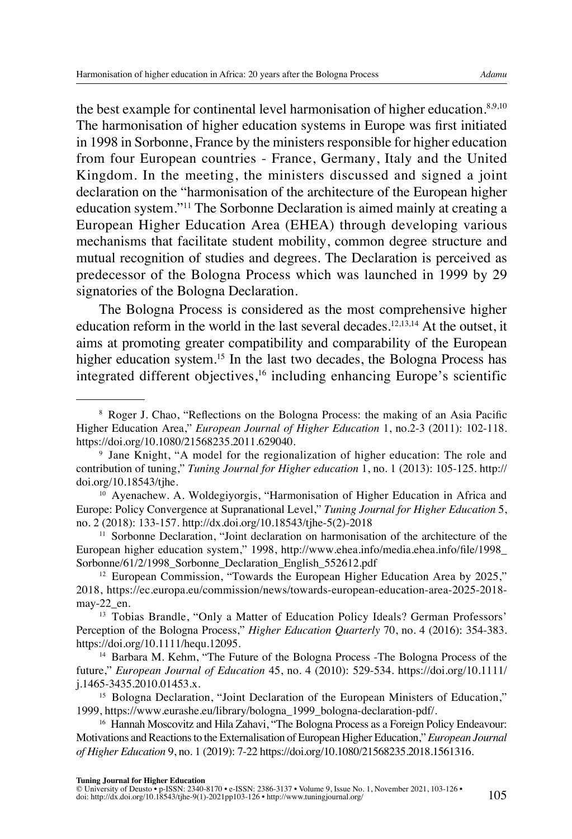the best example for continental level harmonisation of higher education.<sup>8,9,10</sup> The harmonisation of higher education systems in Europe was first initiated in 1998 in Sorbonne, France by the ministers responsible for higher education from four European countries - France, Germany, Italy and the United Kingdom. In the meeting, the ministers discussed and signed a joint declaration on the "harmonisation of the architecture of the European higher education system."11 The Sorbonne Declaration is aimed mainly at creating a European Higher Education Area (EHEA) through developing various mechanisms that facilitate student mobility, common degree structure and mutual recognition of studies and degrees. The Declaration is perceived as predecessor of the Bologna Process which was launched in 1999 by 29 signatories of the Bologna Declaration.

The Bologna Process is considered as the most comprehensive higher education reform in the world in the last several decades.<sup>12,13,14</sup> At the outset, it aims at promoting greater compatibility and comparability of the European higher education system.<sup>15</sup> In the last two decades, the Bologna Process has integrated different objectives,<sup>16</sup> including enhancing Europe's scientific

<sup>8</sup> Roger J. Chao, "Reflections on the Bologna Process: the making of an Asia Pacific Higher Education Area," *European Journal of Higher Education* 1, no.2-3 (2011): 102-118. [https://doi.org/10.1080/21568235.2011.629040.](https://doi.org/10.1080/21568235.2011.629040)

<sup>9</sup> Jane Knight, "A model for the regionalization of higher education: The role and contribution of tuning," *Tuning Journal for Higher education* 1, no. 1 (2013): 105-125. [http://](http://doi.org/10.18543/tjhe) [doi.org/10.18543/tjhe](http://doi.org/10.18543/tjhe).

<sup>&</sup>lt;sup>10</sup> Ayenachew. A. Woldegiyorgis, "Harmonisation of Higher Education in Africa and Europe: Policy Convergence at Supranational Level," *Tuning Journal for Higher Education* 5, no. 2 (2018): 133-157. [http://dx.doi.org/10.18543/tjhe-5\(2\)-2018](http://dx.doi.org/10.18543/tjhe-5(2)-2018pp133-157)

<sup>&</sup>lt;sup>11</sup> Sorbonne Declaration, "Joint declaration on harmonisation of the architecture of the European higher education system," 1998, [http://www.ehea.info/media.ehea.info/file/1998\\_](http://www.ehea.info/media.ehea.info/file/1998_Sorbonne/61/2/1998_Sorbonne_Declaration_English_552612.pdf) [Sorbonne/61/2/1998\\_Sorbonne\\_Declaration\\_English\\_552612.pdf](http://www.ehea.info/media.ehea.info/file/1998_Sorbonne/61/2/1998_Sorbonne_Declaration_English_552612.pdf)

<sup>&</sup>lt;sup>12</sup> European Commission, "Towards the European Higher Education Area by 2025," 2018, [https://ec.europa.eu/commission/news/towards-european-education-area-2025-2018](https://ec.europa.eu/commission/news/towards-european-education-area-2025-2018-may-22_en) [may-22\\_en.](https://ec.europa.eu/commission/news/towards-european-education-area-2025-2018-may-22_en)

<sup>&</sup>lt;sup>13</sup> Tobias Brandle, "Only a Matter of Education Policy Ideals? German Professors' Perception of the Bologna Process," *Higher Education Quarterly* 70, no. 4 (2016): 354-383. [https://doi.org/10.1111/hequ.12095.](https://doi.org/10.1111/hequ.12095)

<sup>14</sup> Barbara M. Kehm, "The Future of the Bologna Process -The Bologna Process of the future," *European Journal of Education* 45, no. 4 (2010): 529-534. [https://doi.org/10.1111/](https://doi.org/10.1111/j.1465-3435.2010.01453.x) [j.1465-3435.2010.01453.x.](https://doi.org/10.1111/j.1465-3435.2010.01453.x)

<sup>15</sup> Bologna Declaration, "Joint Declaration of the European Ministers of Education," 1999, [https://www.eurashe.eu/library/bologna\\_1999\\_bologna-declaration-pdf/.](https://www.eurashe.eu/library/bologna_1999_bologna-declaration-pdf/)

<sup>&</sup>lt;sup>16</sup> Hannah Moscovitz and Hila Zahavi, "The Bologna Process as a Foreign Policy Endeavour: Motivations and Reactions to the Externalisation of European Higher Education," *European Journal of Higher Education* 9, no. 1 (2019): 7-22<https://doi.org/10.1080/21568235.2018.1561316>.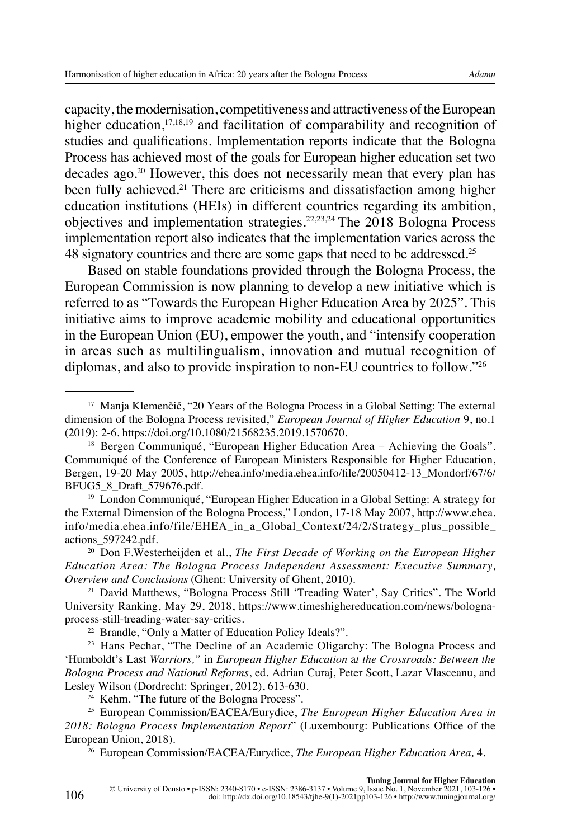capacity, the modernisation, competitiveness and attractiveness of the European higher education,<sup>17,18,19</sup> and facilitation of comparability and recognition of studies and qualifications. Implementation reports indicate that the Bologna Process has achieved most of the goals for European higher education set two decades ago.20 However, this does not necessarily mean that every plan has been fully achieved.<sup>21</sup> There are criticisms and dissatisfaction among higher education institutions (HEIs) in different countries regarding its ambition,

objectives and implementation strategies.22,23,24 The 2018 Bologna Process implementation report also indicates that the implementation varies across the 48 signatory countries and there are some gaps that need to be addressed.<sup>25</sup>

Based on stable foundations provided through the Bologna Process, the European Commission is now planning to develop a new initiative which is referred to as "Towards the European Higher Education Area by 2025". This initiative aims to improve academic mobility and educational opportunities in the European Union (EU), empower the youth, and "intensify cooperation in areas such as multilingualism, innovation and mutual recognition of diplomas, and also to provide inspiration to non-EU countries to follow."<sup>26</sup>

<sup>21</sup> David Matthews, "Bologna Process Still 'Treading Water', Say Critics". The World University Ranking, May 29, 2018, [https://www.timeshighereducation.com/news/bologna](https://www.timeshighereducation.com/news/bologna-process-still-treading-water-say-critics)[process-still-treading-water-say-critics](https://www.timeshighereducation.com/news/bologna-process-still-treading-water-say-critics).<br><sup>[22](https://www.timeshighereducation.com/news/bologna-process-still-treading-water-say-critics)</sup> Brandle, "Only a Matter of Education Policy Ideals?".

<sup>23</sup> Hans Pechar, "The Decline of an Academic Oligarchy: The Bologna Process and 'Humboldt's Last *Warriors,"* in *European Higher Education* a*t the Crossroads: Between the Bologna Process and National Reforms*, ed. Adrian Curaj, Peter Scott, Lazar Vlasceanu, and Lesley Wilson (Dordrecht: Springer, 2012), 613-630.

<sup>24</sup> Kehm. "The future of the Bologna Process".

<sup>25</sup> European Commission/EACEA/Eurydice, *The European Higher Education Area in 2018: Bologna Process Implementation Report*" (Luxembourg: Publications Office of the European Union, 2018).

<sup>26</sup> European Commission/EACEA/Eurydice, *The European Higher Education Area,* 4.

<sup>&</sup>lt;sup>17</sup> Manja Klemenčič, "20 Years of the Bologna Process in a Global Setting: The external dimension of the Bologna Process revisited," *European Journal of Higher Education* 9, no.1 (2019): 2-6. <https://doi.org/10.1080/21568235.2019.1570670>.

 $18$  Bergen Communiqué, "European Higher Education Area – Achieving the Goals". Communiqué of the Conference of European Ministers Responsible for Higher Education, Bergen, 19-20 May 2005, [http://ehea.info/media.ehea.info/file/20050412-13\\_Mondorf/67/6/](http://ehea.info/media.ehea.info/file/20050412-13_Mondorf/67/6/BFUG5_8_Draft_579676.pdf) [BFUG5\\_8\\_Draft\\_579676.pdf](http://ehea.info/media.ehea.info/file/20050412-13_Mondorf/67/6/BFUG5_8_Draft_579676.pdf).

<sup>19</sup> London Communiqué, "European Higher Education in a Global Setting: A strategy for the External Dimension of the Bologna Process," London, 17-18 May 2007, [http://www.ehea.](http://www.ehea.info/media.ehea.info/file/EHEA_in_a_Global_Context/24/2/Strategy_plus_possible_actions_597242.pdf) [info/media.ehea.info/file/EHEA\\_in\\_a\\_Global\\_Context/24/2/Strategy\\_plus\\_possible\\_](http://www.ehea.info/media.ehea.info/file/EHEA_in_a_Global_Context/24/2/Strategy_plus_possible_actions_597242.pdf) [actions\\_597242.pdf](http://www.ehea.info/media.ehea.info/file/EHEA_in_a_Global_Context/24/2/Strategy_plus_possible_actions_597242.pdf).

<sup>20</sup> Don F.Westerheijden et al., *The First Decade of Working on the European Higher Education Area: The Bologna Process Independent Assessment: Executive Summary, Overview and Conclusions* (Ghent: University of Ghent, 2010).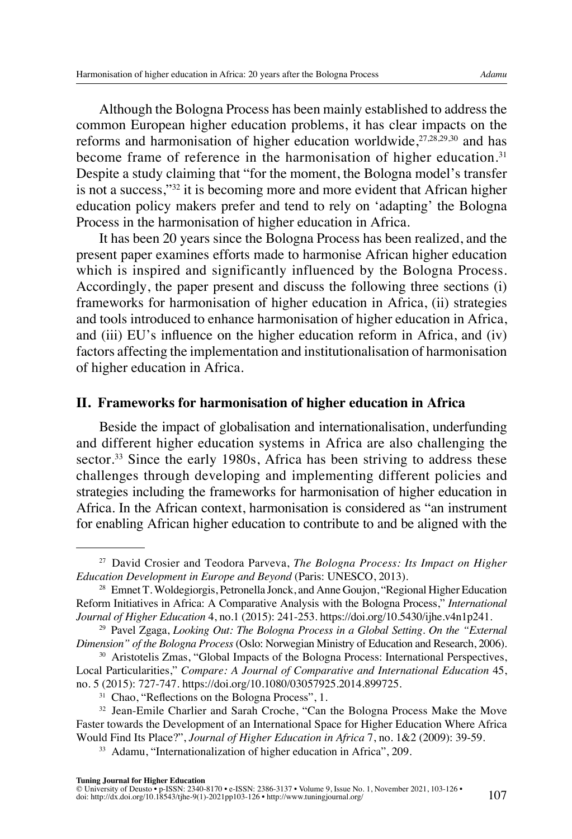Although the Bologna Process has been mainly established to address the common European higher education problems, it has clear impacts on the reforms and harmonisation of higher education worldwide, $27,28,29,30$  and has become frame of reference in the harmonisation of higher education.<sup>31</sup> Despite a study claiming that "for the moment, the Bologna model's transfer is not a success,"32 it is becoming more and more evident that African higher education policy makers prefer and tend to rely on 'adapting' the Bologna Process in the harmonisation of higher education in Africa.

It has been 20 years since the Bologna Process has been realized, and the present paper examines efforts made to harmonise African higher education which is inspired and significantly influenced by the Bologna Process. Accordingly, the paper present and discuss the following three sections (i) frameworks for harmonisation of higher education in Africa, (ii) strategies and tools introduced to enhance harmonisation of higher education in Africa, and (iii) EU's influence on the higher education reform in Africa, and (iv) factors affecting the implementation and institutionalisation of harmonisation of higher education in Africa.

#### **II. Frameworks for harmonisation of higher education in Africa**

Beside the impact of globalisation and internationalisation, underfunding and different higher education systems in Africa are also challenging the sector.<sup>33</sup> Since the early 1980s, Africa has been striving to address these challenges through developing and implementing different policies and strategies including the frameworks for harmonisation of higher education in Africa. In the African context, harmonisation is considered as "an instrument for enabling African higher education to contribute to and be aligned with the

<sup>27</sup> David Crosier and Teodora Parveva, *The Bologna Process: Its Impact on Higher Education Development in Europe and Beyond* (Paris: UNESCO, 2013).

<sup>&</sup>lt;sup>28</sup> Emnet T. Woldegiorgis, Petronella Jonck, and Anne Goujon, "Regional Higher Education" Reform Initiatives in Africa: A Comparative Analysis with the Bologna Process," *International Journal of Higher Education* 4, no.1 (2015): 241-253. [https://doi.org/10.5430/ijhe.v4n1p241.](https://doi.org/10.5430/ijhe.v4n1p241)

<sup>29</sup> Pavel Zgaga, *Looking Out: The Bologna Process in a Global Setting. On the "External Dimension" of the Bologna Process* (Oslo: Norwegian Ministry of Education and Research, 2006).

<sup>30</sup> Aristotelis Zmas, "Global Impacts of the Bologna Process: International Perspectives, Local Particularities," *Compare: A Journal of Comparative and International Education* 45, no. 5 (2015): 727-747. [https://doi.org/10.1080/03057925.2014.899725.](https://doi.org/10.1080/03057925.2014.899725)

<sup>&</sup>lt;sup>31</sup> Chao, "Reflections on the Bologna Process", 1.

<sup>&</sup>lt;sup>32</sup> Jean-Emile Charlier and Sarah Croche, "Can the Bologna Process Make the Move Faster towards the Development of an International Space for Higher Education Where Africa Would Find Its Place?", *Journal of Higher Education in Africa* 7, no. 1&2 (2009): 39-59.

<sup>&</sup>lt;sup>33</sup> Adamu, "Internationalization of higher education in Africa", 209.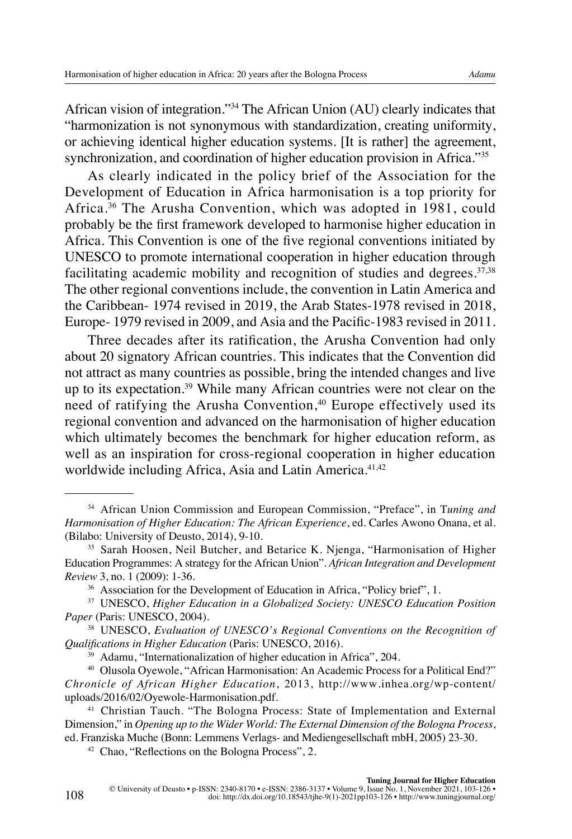African vision of integration."34 The African Union (AU) clearly indicates that "harmonization is not synonymous with standardization, creating uniformity, or achieving identical higher education systems. [It is rather] the agreement, synchronization, and coordination of higher education provision in Africa."<sup>35</sup>

As clearly indicated in the policy brief of the Association for the Development of Education in Africa harmonisation is a top priority for Africa.36 The Arusha Convention, which was adopted in 1981, could probably be the first framework developed to harmonise higher education in Africa. This Convention is one of the five regional conventions initiated by UNESCO to promote international cooperation in higher education through facilitating academic mobility and recognition of studies and degrees. $37,38$ The other regional conventions include, the convention in Latin America and the Caribbean- 1974 revised in 2019, the Arab States-1978 revised in 2018, Europe- 1979 revised in 2009, and Asia and the Pacific-1983 revised in 2011.

Three decades after its ratification, the Arusha Convention had only about 20 signatory African countries. This indicates that the Convention did not attract as many countries as possible, bring the intended changes and live up to its expectation.39 While many African countries were not clear on the need of ratifying the Arusha Convention,<sup>40</sup> Europe effectively used its regional convention and advanced on the harmonisation of higher education which ultimately becomes the benchmark for higher education reform, as well as an inspiration for cross-regional cooperation in higher education worldwide including Africa, Asia and Latin America.<sup>41,42</sup>

108

<sup>34</sup> African Union Commission and European Commission, "Preface", in T*uning and Harmonisation of Higher Education: The African Experience*, ed. Carles Awono Onana, et al. (Bilabo: University of Deusto, 2014), 9-10.

<sup>&</sup>lt;sup>35</sup> Sarah Hoosen, Neil Butcher, and Betarice K. Njenga, "Harmonisation of Higher Education Programmes: A strategy for the African Union". *African Integration and Development Review* 3, no. 1 (2009): 1-36.

<sup>&</sup>lt;sup>36</sup> Association for the Development of Education in Africa, "Policy brief", 1.

<sup>37</sup> UNESCO, *Higher Education in a Globalized Society: UNESCO Education Position Paper* (Paris: UNESCO, 2004).

<sup>38</sup> UNESCO, *Evaluation of UNESCO's Regional Conventions on the Recognition of Qualifications in Higher Education* (Paris: UNESCO, 2016).

<sup>39</sup> Adamu, "Internationalization of higher education in Africa", 204.

<sup>40</sup> Olusola Oyewole, "African Harmonisation: An Academic Process for a Political End?" *Chronicle of African Higher Education*, 2013, [http://www.inhea.org/wp-content/](http://www.inhea.org/wp-content/uploads/2016/02/Oyewole-Harmonization.pdf) [uploads/2016/02/Oyewole-Harmonisation.pdf.](http://www.inhea.org/wp-content/uploads/2016/02/Oyewole-Harmonization.pdf)

<sup>41</sup> Christian Tauch. "The Bologna Process: State of Implementation and External Dimension," in *Opening up to the Wider World: The External Dimension of the Bologna Process*, ed. Franziska Muche (Bonn: Lemmens Verlags- and Mediengesellschaft mbH, 2005) 23-30.

<sup>&</sup>lt;sup>42</sup> Chao, "Reflections on the Bologna Process", 2.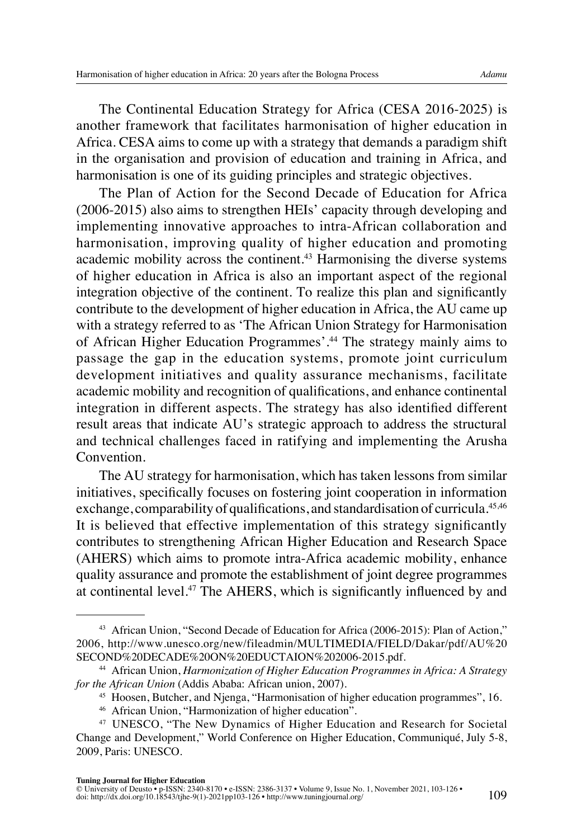The Continental Education Strategy for Africa (CESA 2016-2025) is another framework that facilitates harmonisation of higher education in Africa. CESA aims to come up with a strategy that demands a paradigm shift in the organisation and provision of education and training in Africa, and harmonisation is one of its guiding principles and strategic objectives.

The Plan of Action for the Second Decade of Education for Africa (2006-2015) also aims to strengthen HEIs' capacity through developing and implementing innovative approaches to intra-African collaboration and harmonisation, improving quality of higher education and promoting academic mobility across the continent.43 Harmonising the diverse systems of higher education in Africa is also an important aspect of the regional integration objective of the continent. To realize this plan and significantly contribute to the development of higher education in Africa, the AU came up with a strategy referred to as 'The African Union Strategy for Harmonisation of African Higher Education Programmes'.44 The strategy mainly aims to passage the gap in the education systems, promote joint curriculum development initiatives and quality assurance mechanisms, facilitate academic mobility and recognition of qualifications, and enhance continental integration in different aspects. The strategy has also identified different result areas that indicate AU's strategic approach to address the structural and technical challenges faced in ratifying and implementing the Arusha Convention.

The AU strategy for harmonisation, which has taken lessons from similar initiatives, specifically focuses on fostering joint cooperation in information exchange, comparability of qualifications, and standardisation of curricula.<sup>45,46</sup> It is believed that effective implementation of this strategy significantly contributes to strengthening African Higher Education and Research Space (AHERS) which aims to promote intra-Africa academic mobility, enhance quality assurance and promote the establishment of joint degree programmes at continental level.47 The AHERS, which is significantly influenced by and

<sup>43</sup> African Union, "Second Decade of Education for Africa (2006-2015): Plan of Action," 2006, [http://www.unesco.org/new/fileadmin/MULTIMEDIA/FIELD/Dakar/pdf/AU%20](http://www.unesco.org/new/fileadmin/MULTIMEDIA/FIELD/Dakar/pdf/AU%20SECOND%20DECADE%20ON%20EDUCTAION%202006-2015.pdf) [SECOND%20DECADE%20ON%20EDUCTAION%202006-2015.pdf](http://www.unesco.org/new/fileadmin/MULTIMEDIA/FIELD/Dakar/pdf/AU%20SECOND%20DECADE%20ON%20EDUCTAION%202006-2015.pdf).

<sup>44</sup> African Union, *Harmonization of Higher Education Programmes in Africa: A Strategy for the African Union* (Addis Ababa: African union, 2007).<br><sup>45</sup> Hoosen, Butcher, and Njenga, "Harmonisation of higher education programmes", 16.

<sup>46</sup> African Union, "Harmonization of higher education".

<sup>47</sup> UNESCO, "The New Dynamics of Higher Education and Research for Societal Change and Development," World Conference on Higher Education, Communiqué, July 5-8, 2009, Paris: UNESCO.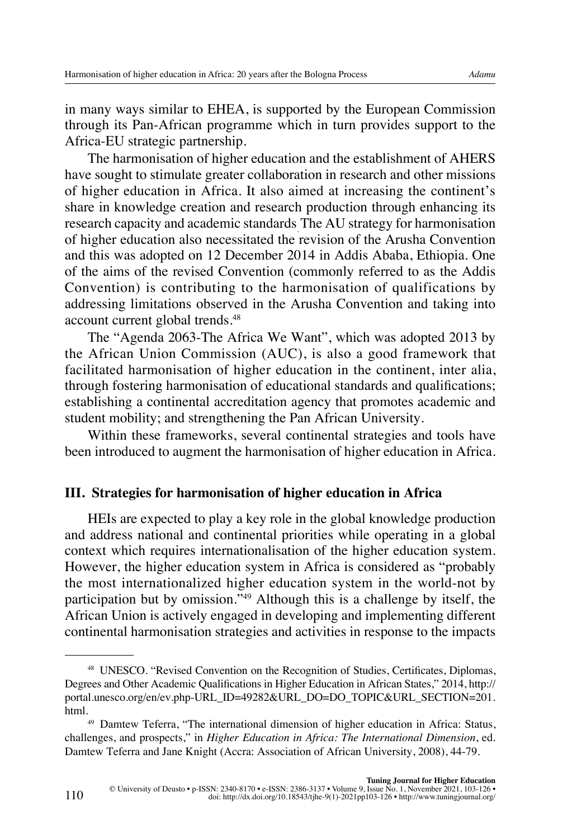in many ways similar to EHEA, is supported by the European Commission through its Pan-African programme which in turn provides support to the Africa-EU strategic partnership.

The harmonisation of higher education and the establishment of AHERS have sought to stimulate greater collaboration in research and other missions of higher education in Africa. It also aimed at increasing the continent's share in knowledge creation and research production through enhancing its research capacity and academic standards. The AU strategy for harmonisation of higher education also necessitated the revision of the Arusha Convention and this was adopted on 12 December 2014 in Addis Ababa, Ethiopia. One of the aims of the revised Convention (commonly referred to as the Addis Convention) is contributing to the harmonisation of qualifications by addressing limitations observed in the Arusha Convention and taking into account current global trends.48

The "Agenda 2063-The Africa We Want", which was adopted 2013 by the African Union Commission (AUC), is also a good framework that facilitated harmonisation of higher education in the continent, inter alia, through fostering harmonisation of educational standards and qualifications; establishing a continental accreditation agency that promotes academic and student mobility; and strengthening the Pan African University.

Within these frameworks, several continental strategies and tools have been introduced to augment the harmonisation of higher education in Africa.

## **III. Strategies for harmonisation of higher education in Africa**

HEIs are expected to play a key role in the global knowledge production and address national and continental priorities while operating in a global context which requires internationalisation of the higher education system. However, the higher education system in Africa is considered as "probably the most internationalized higher education system in the world-not by participation but by omission."49 Although this is a challenge by itself, the African Union is actively engaged in developing and implementing different continental harmonisation strategies and activities in response to the impacts

110

<sup>48</sup> UNESCO. "Revised Convention on the Recognition of Studies, Certificates, Diplomas, Degrees and Other Academic Qualifications in Higher Education in African States," 2014, [http://](http://portal.unesco.org/en/ev.php-URL_ID=49282&URL_DO=DO_TOPIC&URL_SECTION=201.html) [portal.unesco.org/en/ev.php-URL\\_ID=49282&URL\\_DO=DO\\_TOPIC&URL\\_SECTION=201.](http://portal.unesco.org/en/ev.php-URL_ID=49282&URL_DO=DO_TOPIC&URL_SECTION=201.html) [html](http://portal.unesco.org/en/ev.php-URL_ID=49282&URL_DO=DO_TOPIC&URL_SECTION=201.html).

<sup>49</sup> Damtew Teferra, "The international dimension of higher education in Africa: Status, challenges, and prospects," in *Higher Education in Africa: The International Dimension*, ed. Damtew Teferra and Jane Knight (Accra: Association of African University, 2008), 44-79.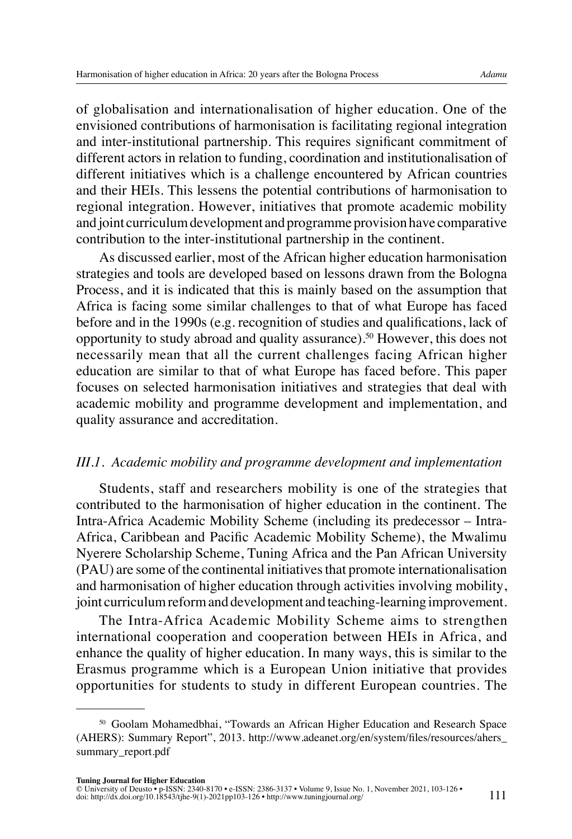of globalisation and internationalisation of higher education. One of the envisioned contributions of harmonisation is facilitating regional integration and inter-institutional partnership. This requires significant commitment of different actors in relation to funding, coordination and institutionalisation of different initiatives which is a challenge encountered by African countries and their HEIs. This lessens the potential contributions of harmonisation to regional integration. However, initiatives that promote academic mobility and joint curriculum development and programme provision have comparative contribution to the inter-institutional partnership in the continent.

As discussed earlier, most of the African higher education harmonisation strategies and tools are developed based on lessons drawn from the Bologna Process, and it is indicated that this is mainly based on the assumption that Africa is facing some similar challenges to that of what Europe has faced before and in the 1990s (e.g. recognition of studies and qualifications, lack of opportunity to study abroad and quality assurance).<sup>50</sup> However, this does not necessarily mean that all the current challenges facing African higher education are similar to that of what Europe has faced before. This paper focuses on selected harmonisation initiatives and strategies that deal with academic mobility and programme development and implementation, and quality assurance and accreditation.

## *III.1. Academic mobility and programme development and implementation*

Students, staff and researchers mobility is one of the strategies that contributed to the harmonisation of higher education in the continent. The Intra-Africa Academic Mobility Scheme (including its predecessor – Intra-Africa, Caribbean and Pacific Academic Mobility Scheme), the Mwalimu Nyerere Scholarship Scheme, Tuning Africa and the Pan African University (PAU) are some of the continental initiatives that promote internationalisation and harmonisation of higher education through activities involving mobility, joint curriculum reform and development and teaching-learning improvement.

The Intra-Africa Academic Mobility Scheme aims to strengthen international cooperation and cooperation between HEIs in Africa, and enhance the quality of higher education. In many ways, this is similar to the Erasmus programme which is a European Union initiative that provides opportunities for students to study in different European countries. The

<sup>50</sup> Goolam Mohamedbhai, "Towards an African Higher Education and Research Space (AHERS): Summary Report", 2013. [http://www.adeanet.org/en/system/files/resources/ahers\\_](http://www.adeanet.org/en/system/files/resources/ahers_summary_report.pdf) [summary\\_report.pdf](http://www.adeanet.org/en/system/files/resources/ahers_summary_report.pdf)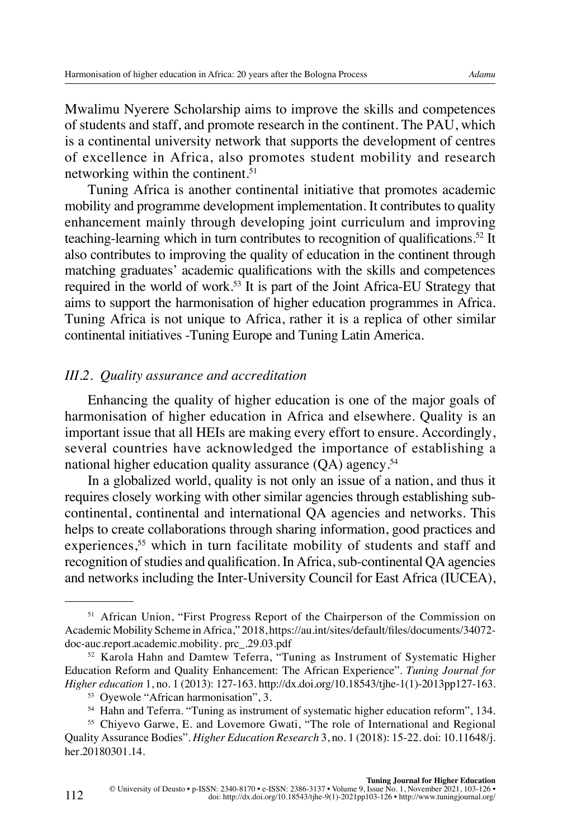Mwalimu Nyerere Scholarship aims to improve the skills and competences of students and staff, and promote research in the continent. The PAU, which is a continental university network that supports the development of centres of excellence in Africa, also promotes student mobility and research networking within the continent.<sup>51</sup>

Tuning Africa is another continental initiative that promotes academic mobility and programme development implementation. It contributes to quality enhancement mainly through developing joint curriculum and improving teaching-learning which in turn contributes to recognition of qualifications.52 It also contributes to improving the quality of education in the continent through matching graduates' academic qualifications with the skills and competences required in the world of work.53 It is part of the Joint Africa-EU Strategy that aims to support the harmonisation of higher education programmes in Africa. Tuning Africa is not unique to Africa, rather it is a replica of other similar continental initiatives -Tuning Europe and Tuning Latin America.

#### *III.2. Quality assurance and accreditation*

Enhancing the quality of higher education is one of the major goals of harmonisation of higher education in Africa and elsewhere. Quality is an important issue that all HEIs are making every effort to ensure. Accordingly, several countries have acknowledged the importance of establishing a national higher education quality assurance (OA) agency.<sup>54</sup>

In a globalized world, quality is not only an issue of a nation, and thus it requires closely working with other similar agencies through establishing subcontinental, continental and international QA agencies and networks. This helps to create collaborations through sharing information, good practices and experiences,<sup>55</sup> which in turn facilitate mobility of students and staff and recognition of studies and qualification. In Africa, sub-continental QA agencies and networks including the Inter-University Council for East Africa (IUCEA),

<sup>&</sup>lt;sup>51</sup> African Union, "First Progress Report of the Chairperson of the Commission on Academic Mobility Scheme in Africa," 2018, <https://au.int/sites/default/files/>documents/34072 doc-auc.report.academic.mobility. prc\_.29.03.pdf<br><sup>52</sup> Karola Hahn and Damtew Teferra, "Tuning as Instrument of Systematic Higher

Education Reform and Quality Enhancement: The African Experience". *Tuning Journal for Higher education* 1, no. 1 (2013): 127-163. [http://dx.doi.org/10.18543/tjhe-1\(1\)-2013pp127-163](http://dx.doi.org/10.18543/tjhe-1(1)-2013pp127-163).

<sup>53</sup> Oyewole "African harmonisation", 3.

<sup>&</sup>lt;sup>54</sup> Hahn and Teferra. "Tuning as instrument of systematic higher education reform", 134.

<sup>55</sup> Chiyevo Garwe, E. and Lovemore Gwati, "The role of International and Regional Quality Assurance Bodies". *Higher Education Research* 3, no. 1 (2018): 15-22. doi: 10.11648/j. her.20180301.14.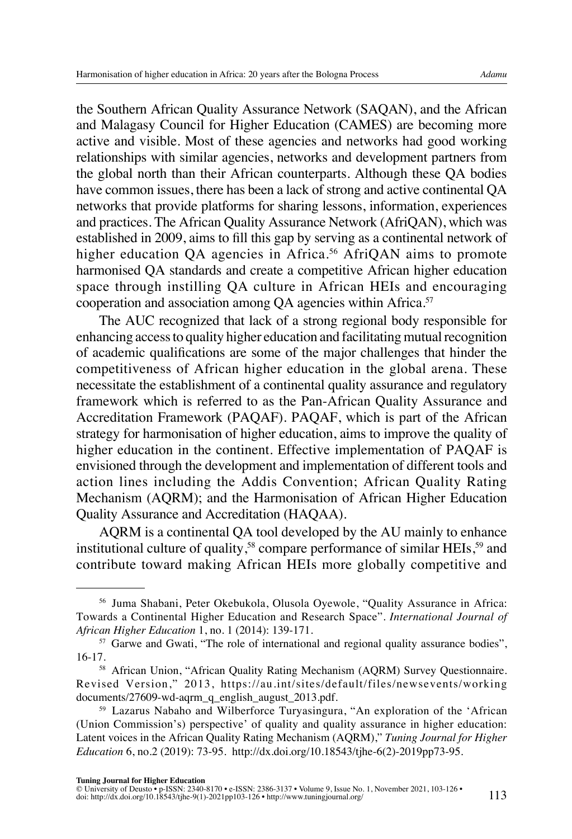the Southern African Quality Assurance Network (SAQAN), and the African and Malagasy Council for Higher Education (CAMES) are becoming more active and visible. Most of these agencies and networks had good working relationships with similar agencies, networks and development partners from the global north than their African counterparts. Although these QA bodies have common issues, there has been a lack of strong and active continental QA networks that provide platforms for sharing lessons, information, experiences and practices. The African Quality Assurance Network (AfriQAN), which was established in 2009, aims to fill this gap by serving as a continental network of higher education QA agencies in Africa.<sup>56</sup> AfriQAN aims to promote harmonised QA standards and create a competitive African higher education space through instilling QA culture in African HEIs and encouraging cooperation and association among QA agencies within Africa.<sup>57</sup>

The AUC recognized that lack of a strong regional body responsible for enhancing access to quality higher education and facilitating mutual recognition of academic qualifications are some of the major challenges that hinder the competitiveness of African higher education in the global arena. These necessitate the establishment of a continental quality assurance and regulatory framework which is referred to as the Pan-African Quality Assurance and Accreditation Framework (PAQAF). PAQAF, which is part of the African strategy for harmonisation of higher education, aims to improve the quality of higher education in the continent. Effective implementation of PAQAF is envisioned through the development and implementation of different tools and action lines including the Addis Convention; African Quality Rating Mechanism (AQRM); and the Harmonisation of African Higher Education Quality Assurance and Accreditation (HAQAA).

AQRM is a continental QA tool developed by the AU mainly to enhance institutional culture of quality,<sup>58</sup> compare performance of similar HEIs,<sup>59</sup> and contribute toward making African HEIs more globally competitive and

<sup>56</sup> Juma Shabani, Peter Okebukola, Olusola Oyewole, "Quality Assurance in Africa: Towards a Continental Higher Education and Research Space". *International Journal of African Higher Education* 1, no. 1 (2014): 139-171.

<sup>&</sup>lt;sup>57</sup> Garwe and Gwati, "The role of international and regional quality assurance bodies", 16-17.

<sup>&</sup>lt;sup>58</sup> African Union, "African Quality Rating Mechanism (AQRM) Survey Questionnaire. Revised Version," 2013, [https://au.int/sites/default/files/newsevents/working](https://au.int/sites/default/files/newsevents/working%20documents/27609-wd-aqrm_q_english_august_2013.pdf)  [documents/27609-wd-aqrm\\_q\\_english\\_august\\_2013.pdf](https://au.int/sites/default/files/newsevents/working%20documents/27609-wd-aqrm_q_english_august_2013.pdf).

<sup>59</sup> Lazarus Nabaho and Wilberforce Turyasingura, "An exploration of the 'African (Union Commission's) perspective' of quality and quality assurance in higher education: Latent voices in the African Quality Rating Mechanism (AQRM)," *Tuning Journal for Higher Education* 6, no.2 (2019): 73-95. [http://dx.doi.org/10.18543/tjhe-6\(2\)-2019pp73-95](http://dx.doi.org/10.18543/tjhe-6(2)-2019pp73-95).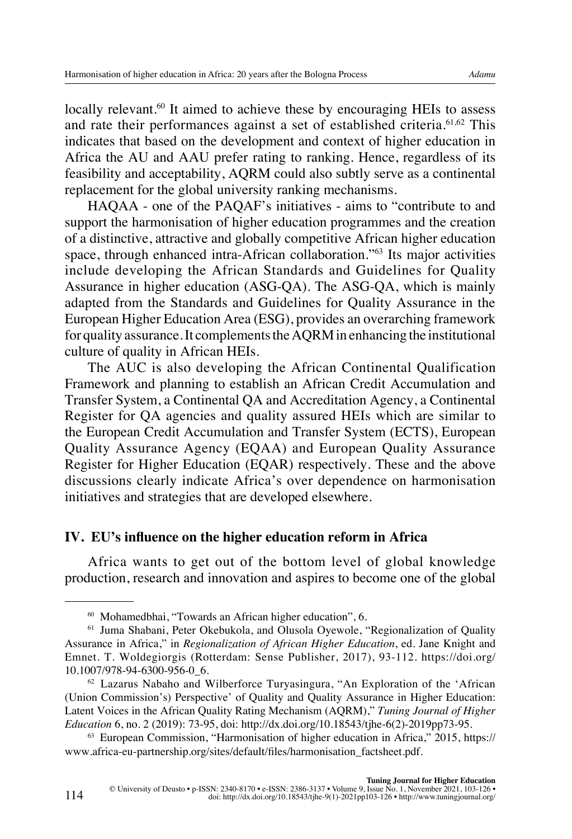locally relevant.<sup>60</sup> It aimed to achieve these by encouraging HEIs to assess and rate their performances against a set of established criteria.61,62 This indicates that based on the development and context of higher education in Africa the AU and AAU prefer rating to ranking. Hence, regardless of its feasibility and acceptability, AQRM could also subtly serve as a continental replacement for the global university ranking mechanisms.

HAQAA - one of the PAQAF's initiatives - aims to "contribute to and support the harmonisation of higher education programmes and the creation of a distinctive, attractive and globally competitive African higher education space, through enhanced intra-African collaboration."63 Its major activities include developing the African Standards and Guidelines for Quality Assurance in higher education (ASG-QA). The ASG-QA, which is mainly adapted from the Standards and Guidelines for Quality Assurance in the European Higher Education Area (ESG), provides an overarching framework for quality assurance. It complements the AQRM in enhancing the institutional culture of quality in African HEIs.

The AUC is also developing the African Continental Qualification Framework and planning to establish an African Credit Accumulation and Transfer System, a Continental QA and Accreditation Agency, a Continental Register for QA agencies and quality assured HEIs which are similar to the European Credit Accumulation and Transfer System (ECTS), European Quality Assurance Agency (EQAA) and European Quality Assurance Register for Higher Education (EQAR) respectively. These and the above discussions clearly indicate Africa's over dependence on harmonisation initiatives and strategies that are developed elsewhere.

## **IV. EU's influence on the higher education reform in Africa**

Africa wants to get out of the bottom level of global knowledge production, research and innovation and aspires to become one of the global

<sup>60</sup> Mohamedbhai, "Towards an African higher education", 6.

<sup>61</sup> Juma Shabani, Peter Okebukola, and Olusola Oyewole, "Regionalization of Quality Assurance in Africa," in *Regionalization of African Higher Education*, ed. Jane Knight and Emnet. T. Woldegiorgis (Rotterdam: Sense Publisher, 2017), 93-112. [https://doi.org/](https://doi.org/10.1007/978-94-6300-956-0_6) [10.1007/978-94-6300-956-0\\_6](https://doi.org/10.1007/978-94-6300-956-0_6).

<sup>62</sup> Lazarus Nabaho and Wilberforce Turyasingura, "An Exploration of the 'African (Union Commission's) Perspective' of Quality and Quality Assurance in Higher Education: Latent Voices in the African Quality Rating Mechanism (AQRM)," *Tuning Journal of Higher Education* 6, no. 2 (2019): 73-95, doi: [http://dx.doi.org/10.18543/tjhe-6\(2\)-2019pp73-95](http://dx.doi.org/10.18543/tjhe-6(2)-2019pp73-95).

<sup>63</sup> European Commission, "Harmonisation of higher education in Africa," 2015, [https://](https://www.africa-eu-partnership.org/sites/default/files/harmonisation_factsheet.pdf) [www.africa-eu-partnership.org/sites/default/files/harmonisation\\_factsheet.pdf](https://www.africa-eu-partnership.org/sites/default/files/harmonisation_factsheet.pdf).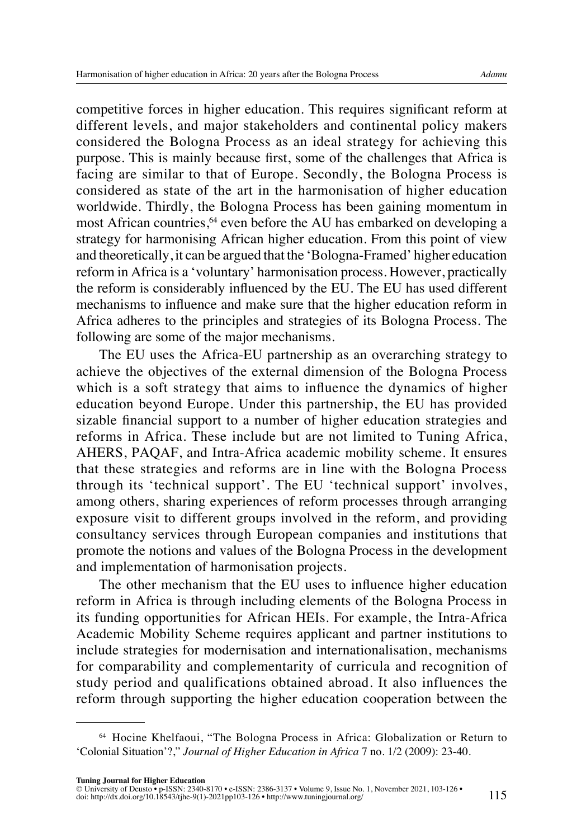competitive forces in higher education. This requires significant reform at different levels, and major stakeholders and continental policy makers considered the Bologna Process as an ideal strategy for achieving this purpose. This is mainly because first, some of the challenges that Africa is facing are similar to that of Europe. Secondly, the Bologna Process is considered as state of the art in the harmonisation of higher education worldwide. Thirdly, the Bologna Process has been gaining momentum in most African countries,<sup>64</sup> even before the AU has embarked on developing a strategy for harmonising African higher education. From this point of view and theoretically, it can be argued that the 'Bologna-Framed' higher education reform in Africa is a 'voluntary' harmonisation process. However, practically the reform is considerably influenced by the EU. The EU has used different mechanisms to influence and make sure that the higher education reform in Africa adheres to the principles and strategies of its Bologna Process. The following are some of the major mechanisms.

The EU uses the Africa-EU partnership as an overarching strategy to achieve the objectives of the external dimension of the Bologna Process which is a soft strategy that aims to influence the dynamics of higher education beyond Europe. Under this partnership, the EU has provided sizable financial support to a number of higher education strategies and reforms in Africa. These include but are not limited to Tuning Africa, AHERS, PAQAF, and Intra-Africa academic mobility scheme. It ensures that these strategies and reforms are in line with the Bologna Process through its 'technical support'. The EU 'technical support' involves, among others, sharing experiences of reform processes through arranging exposure visit to different groups involved in the reform, and providing consultancy services through European companies and institutions that promote the notions and values of the Bologna Process in the development and implementation of harmonisation projects.

The other mechanism that the EU uses to influence higher education reform in Africa is through including elements of the Bologna Process in its funding opportunities for African HEIs. For example, the Intra-Africa Academic Mobility Scheme requires applicant and partner institutions to include strategies for modernisation and internationalisation, mechanisms for comparability and complementarity of curricula and recognition of study period and qualifications obtained abroad. It also influences the reform through supporting the higher education cooperation between the

<sup>64</sup> Hocine Khelfaoui, "The Bologna Process in Africa: Globalization or Return to 'Colonial Situation'?," *Journal of Higher Education in Africa* 7 no. 1/2 (2009): 23-40.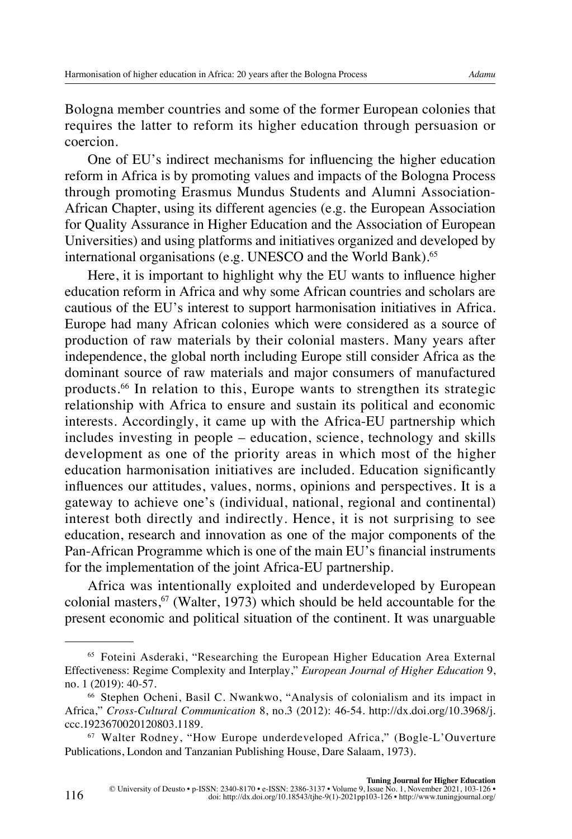Bologna member countries and some of the former European colonies that requires the latter to reform its higher education through persuasion or coercion.

One of EU's indirect mechanisms for influencing the higher education reform in Africa is by promoting values and impacts of the Bologna Process through promoting Erasmus Mundus Students and Alumni Association-African Chapter, using its different agencies (e.g. the European Association for Quality Assurance in Higher Education and the Association of European Universities) and using platforms and initiatives organized and developed by international organisations (e.g. UNESCO and the World Bank).<sup>65</sup>

Here, it is important to highlight why the EU wants to influence higher education reform in Africa and why some African countries and scholars are cautious of the EU's interest to support harmonisation initiatives in Africa. Europe had many African colonies which were considered as a source of production of raw materials by their colonial masters. Many years after independence, the global north including Europe still consider Africa as the dominant source of raw materials and major consumers of manufactured products.66 In relation to this, Europe wants to strengthen its strategic relationship with Africa to ensure and sustain its political and economic interests. Accordingly, it came up with the Africa-EU partnership which includes investing in people – education, science, technology and skills development as one of the priority areas in which most of the higher education harmonisation initiatives are included. Education significantly influences our attitudes, values, norms, opinions and perspectives. It is a gateway to achieve one's (individual, national, regional and continental) interest both directly and indirectly. Hence, it is not surprising to see education, research and innovation as one of the major components of the Pan-African Programme which is one of the main EU's financial instruments for the implementation of the joint Africa-EU partnership.

Africa was intentionally exploited and underdeveloped by European colonial masters, $67$  (Walter, 1973) which should be held accountable for the present economic and political situation of the continent. It was unarguable

<sup>65</sup> Foteini Asderaki, "Researching the European Higher Education Area External Effectiveness: Regime Complexity and Interplay," *European Journal of Higher Education* 9, no. 1 (2019): 40-57.<br><sup>66</sup> Stephen Ocheni, Basil C. Nwankwo, "Analysis of colonialism and its impact in

Africa," *Cross-Cultural Communication* 8, no.3 (2012): 46-54. [http://dx.doi.org/10.3968/j.](http://dx.doi.org/10.3968/j.ccc.1923670020120803.1189) [ccc.1923670020120803.1189.](http://dx.doi.org/10.3968/j.ccc.1923670020120803.1189)

<sup>67</sup> Walter Rodney, "How Europe underdeveloped Africa," (Bogle-L'Ouverture Publications, London and Tanzanian Publishing House, Dare Salaam, 1973).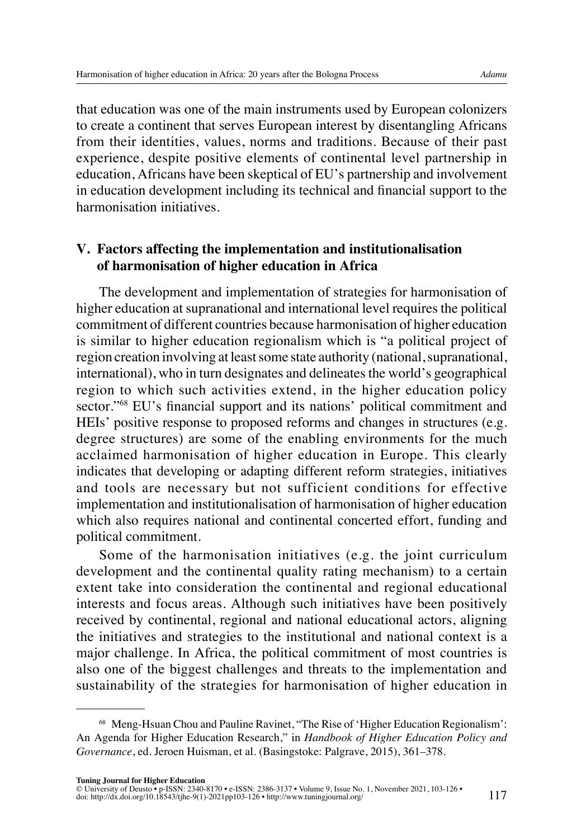that education was one of the main instruments used by European colonizers to create a continent that serves European interest by disentangling Africans from their identities, values, norms and traditions. Because of their past experience, despite positive elements of continental level partnership in education, Africans have been skeptical of EU's partnership and involvement in education development including its technical and financial support to the harmonisation initiatives.

#### **V. Factors affecting the implementation and institutionalisation of harmonisation of higher education in Africa**

The development and implementation of strategies for harmonisation of higher education at supranational and international level requires the political commitment of different countries because harmonisation of higher education is similar to higher education regionalism which is "a political project of region creation involving at least some state authority (national, supranational, international), who in turn designates and delineates the world's geographical region to which such activities extend, in the higher education policy sector."<sup>68</sup> EU's financial support and its nations' political commitment and HEIs' positive response to proposed reforms and changes in structures (e.g. degree structures) are some of the enabling environments for the much acclaimed harmonisation of higher education in Europe. This clearly indicates that developing or adapting different reform strategies, initiatives and tools are necessary but not sufficient conditions for effective implementation and institutionalisation of harmonisation of higher education which also requires national and continental concerted effort, funding and political commitment.

Some of the harmonisation initiatives (e.g. the joint curriculum development and the continental quality rating mechanism) to a certain extent take into consideration the continental and regional educational interests and focus areas. Although such initiatives have been positively received by continental, regional and national educational actors, aligning the initiatives and strategies to the institutional and national context is a major challenge. In Africa, the political commitment of most countries is also one of the biggest challenges and threats to the implementation and sustainability of the strategies for harmonisation of higher education in

<sup>68</sup> Meng-Hsuan Chou and Pauline Ravinet, "The Rise of 'Higher Education Regionalism': An Agenda for Higher Education Research," in *Handbook of Higher Education Policy and Governance*, ed. Jeroen Huisman, et al. (Basingstoke: Palgrave, 2015), 361–378.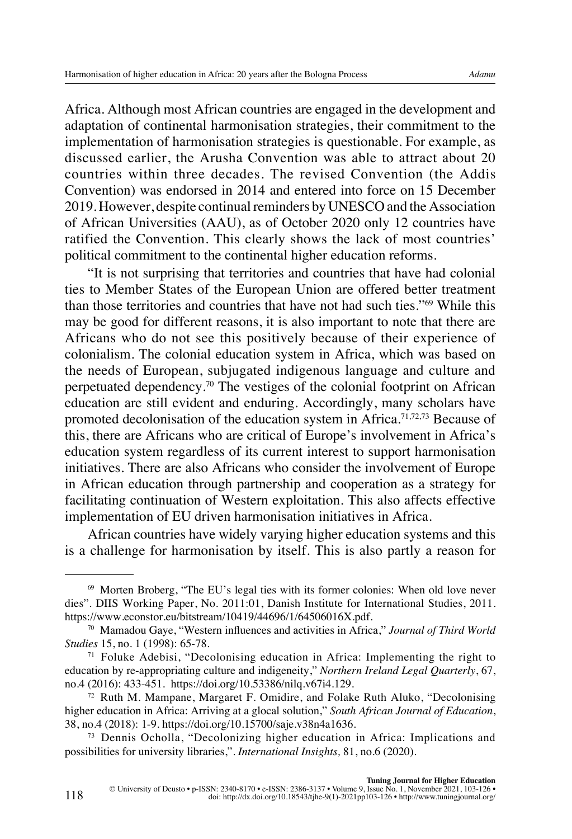Africa. Although most African countries are engaged in the development and adaptation of continental harmonisation strategies, their commitment to the implementation of harmonisation strategies is questionable. For example, as discussed earlier, the Arusha Convention was able to attract about 20 countries within three decades. The revised Convention (the Addis Convention) was endorsed in 2014 and entered into force on 15 December 2019. However, despite continual reminders by UNESCO and the Association of African Universities (AAU), as of October 2020 only 12 countries have ratified the Convention. This clearly shows the lack of most countries' political commitment to the continental higher education reforms.

"It is not surprising that territories and countries that have had colonial ties to Member States of the European Union are offered better treatment than those territories and countries that have not had such ties."69 While this may be good for different reasons, it is also important to note that there are Africans who do not see this positively because of their experience of colonialism. The colonial education system in Africa, which was based on the needs of European, subjugated indigenous language and culture and perpetuated dependency.70 The vestiges of the colonial footprint on African education are still evident and enduring. Accordingly, many scholars have promoted decolonisation of the education system in Africa.71,72,73 Because of this, there are Africans who are critical of Europe's involvement in Africa's education system regardless of its current interest to support harmonisation initiatives. There are also Africans who consider the involvement of Europe in African education through partnership and cooperation as a strategy for facilitating continuation of Western exploitation. This also affects effective implementation of EU driven harmonisation initiatives in Africa.

African countries have widely varying higher education systems and this is a challenge for harmonisation by itself. This is also partly a reason for

<sup>69</sup> Morten Broberg, "The EU's legal ties with its former colonies: When old love never dies". DIIS Working Paper, No. 2011:01, Danish Institute for International Studies, 2011. <https://www.econstor.eu/bitstream/10419/44696/1/64506016X.pdf>.

<sup>70</sup> Mamadou Gaye, "Western influences and activities in Africa," *Journal of Third World Studies* 15, no. 1 (1998): 65-78.<br><sup>71</sup> Foluke Adebisi, "Decolonising education in Africa: Implementing the right to

education by re-appropriating culture and indigeneity," *Northern Ireland Legal Quarterly*, 67, no.4 (2016): 433-451. <https://doi.org/10.53386/nilq.v67i4.129>.

<sup>72</sup> Ruth M. Mampane, Margaret F. Omidire, and Folake Ruth Aluko, "Decolonising higher education in Africa: Arriving at a glocal solution," *South African Journal of Education*, 38, no.4 (2018): 1-9. https://doi.org/[10.15700/saje.v38n4a1636.](https://doi.org/10.15700/saje.v38n4a1636)

<sup>73</sup> Dennis Ocholla, "Decolonizing higher education in Africa: Implications and possibilities for university libraries,". *International Insights,* 81, no.6 (2020).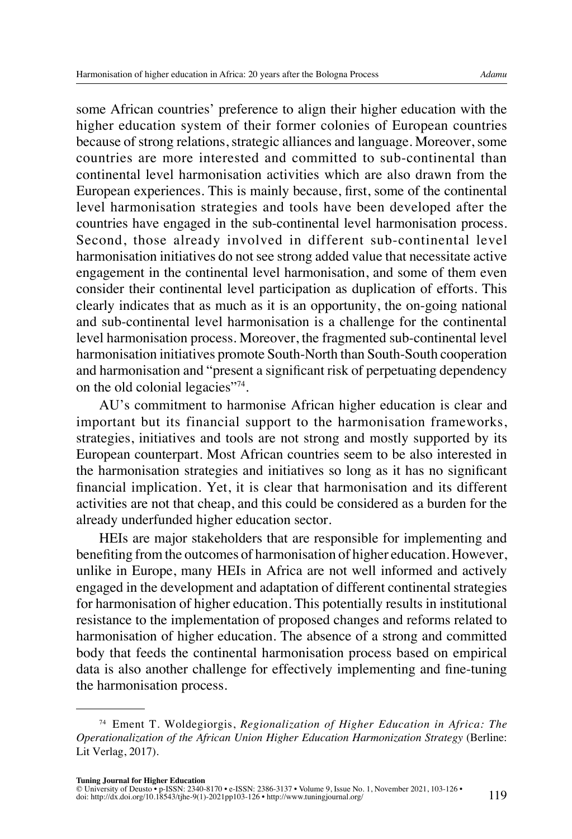some African countries' preference to align their higher education with the higher education system of their former colonies of European countries because of strong relations, strategic alliances and language. Moreover, some countries are more interested and committed to sub-continental than continental level harmonisation activities which are also drawn from the European experiences. This is mainly because, first, some of the continental level harmonisation strategies and tools have been developed after the countries have engaged in the sub-continental level harmonisation process. Second, those already involved in different sub-continental level harmonisation initiatives do not see strong added value that necessitate active engagement in the continental level harmonisation, and some of them even consider their continental level participation as duplication of efforts. This clearly indicates that as much as it is an opportunity, the on-going national and sub-continental level harmonisation is a challenge for the continental level harmonisation process. Moreover, the fragmented sub-continental level harmonisation initiatives promote South-North than South-South cooperation and harmonisation and "present a significant risk of perpetuating dependency on the old colonial legacies"74.

AU's commitment to harmonise African higher education is clear and important but its financial support to the harmonisation frameworks, strategies, initiatives and tools are not strong and mostly supported by its European counterpart. Most African countries seem to be also interested in the harmonisation strategies and initiatives so long as it has no significant financial implication. Yet, it is clear that harmonisation and its different activities are not that cheap, and this could be considered as a burden for the already underfunded higher education sector.

HEIs are major stakeholders that are responsible for implementing and benefiting from the outcomes of harmonisation of higher education. However, unlike in Europe, many HEIs in Africa are not well informed and actively engaged in the development and adaptation of different continental strategies for harmonisation of higher education. This potentially results in institutional resistance to the implementation of proposed changes and reforms related to harmonisation of higher education. The absence of a strong and committed body that feeds the continental harmonisation process based on empirical data is also another challenge for effectively implementing and fine-tuning the harmonisation process.

<sup>74</sup> Ement T. Woldegiorgis, *Regionalization of Higher Education in Africa: The Operationalization of the African Union Higher Education Harmonization Strategy* (Berline: Lit Verlag, 2017).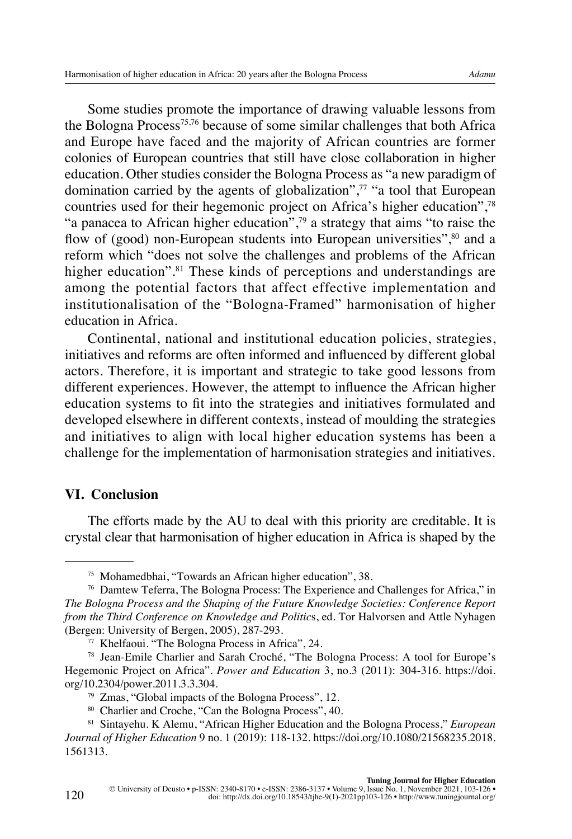Some studies promote the importance of drawing valuable lessons from the Bologna Process75,76 because of some similar challenges that both Africa and Europe have faced and the majority of African countries are former colonies of European countries that still have close collaboration in higher education. Other studies consider the Bologna Process as "a new paradigm of domination carried by the agents of globalization", $77$  "a tool that European countries used for their hegemonic project on Africa's higher education".<sup>78</sup> "a panacea to African higher education", $\frac{79}{2}$  a strategy that aims "to raise the flow of (good) non-European students into European universities",<sup>80</sup> and a reform which "does not solve the challenges and problems of the African higher education".<sup>81</sup> These kinds of perceptions and understandings are among the potential factors that affect effective implementation and institutionalisation of the "Bologna-Framed" harmonisation of higher education in Africa.

Continental, national and institutional education policies, strategies, initiatives and reforms are often informed and influenced by different global actors. Therefore, it is important and strategic to take good lessons from different experiences. However, the attempt to influence the African higher education systems to fit into the strategies and initiatives formulated and developed elsewhere in different contexts, instead of moulding the strategies and initiatives to align with local higher education systems has been a challenge for the implementation of harmonisation strategies and initiatives.

#### **VI. Conclusion**

120

The efforts made by the AU to deal with this priority are creditable. It is crystal clear that harmonisation of higher education in Africa is shaped by the

<sup>80</sup> Charlier and Croche, "Can the Bologna Process", 40.

<sup>75</sup> Mohamedbhai, "Towards an African higher education", 38.

<sup>76</sup> Damtew Teferra, The Bologna Process: The Experience and Challenges for Africa," in *The Bologna Process and the Shaping of the Future Knowledge Societies: Conference Report from the Third Conference on Knowledge and Politic*s, ed. Tor Halvorsen and Attle Nyhagen (Bergen: University of Bergen, 2005), 287-293.

<sup>77</sup> Khelfaoui. "The Bologna Process in Africa", 24.

<sup>78</sup> Jean-Emile Charlier and Sarah Croché, "The Bologna Process: A tool for Europe's Hegemonic Project on Africa". *Power and Education* 3, no.3 (2011): 304-316. [https://doi.](https://doi.org/10.2304%2Fpower.2011.3.3.304) [org/10.2304/power.2011.3.3.304.](https://doi.org/10.2304%2Fpower.2011.3.3.304)

<sup>79</sup> Zmas, "Global impacts of the Bologna Process", 12.

<sup>81</sup> Sintayehu. K Alemu, "African Higher Education and the Bologna Process," *European Journal of Higher Education* 9 no. 1 (2019): 118-132. [https://doi.org/10.1080/21568235.2018.](https://doi.org/10.1080/21568235.2018.1561313) [1561313.](https://doi.org/10.1080/21568235.2018.1561313)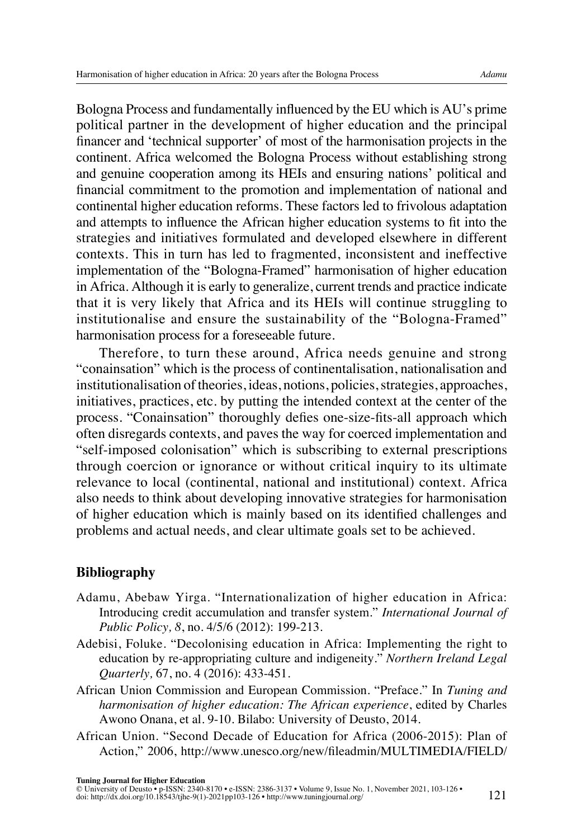Bologna Process and fundamentally influenced by the EU which is AU's prime political partner in the development of higher education and the principal financer and 'technical supporter' of most of the harmonisation projects in the continent. Africa welcomed the Bologna Process without establishing strong and genuine cooperation among its HEIs and ensuring nations' political and financial commitment to the promotion and implementation of national and continental higher education reforms. These factors led to frivolous adaptation and attempts to influence the African higher education systems to fit into the strategies and initiatives formulated and developed elsewhere in different contexts. This in turn has led to fragmented, inconsistent and ineffective implementation of the "Bologna-Framed" harmonisation of higher education in Africa. Although it is early to generalize, current trends and practice indicate that it is very likely that Africa and its HEIs will continue struggling to institutionalise and ensure the sustainability of the "Bologna-Framed" harmonisation process for a foreseeable future.

Therefore, to turn these around, Africa needs genuine and strong "conainsation" which is the process of continentalisation, nationalisation and institutionalisation of theories, ideas, notions, policies, strategies, approaches, initiatives, practices, etc. by putting the intended context at the center of the process. "Conainsation" thoroughly defies one-size-fits-all approach which often disregards contexts, and paves the way for coerced implementation and "self-imposed colonisation" which is subscribing to external prescriptions through coercion or ignorance or without critical inquiry to its ultimate relevance to local (continental, national and institutional) context. Africa also needs to think about developing innovative strategies for harmonisation of higher education which is mainly based on its identified challenges and problems and actual needs, and clear ultimate goals set to be achieved.

## **Bibliography**

- Adamu, Abebaw Yirga. "Internationalization of higher education in Africa: Introducing credit accumulation and transfer system." *International Journal of Public Policy, 8*, no. 4/5/6 (2012): 199-213.
- Adebisi, Foluke. "Decolonising education in Africa: Implementing the right to education by re-appropriating culture and indigeneity." *Northern Ireland Legal Quarterly,* 67, no. 4 (2016): 433-451.
- African Union Commission and European Commission. "Preface." In *Tuning and harmonisation of higher education: The African experience*, edited by Charles Awono Onana, et al. 9-10. Bilabo: University of Deusto, 2014.
- African Union. "Second Decade of Education for Africa (2006-2015): Plan of Action," 2006, [http://www.unesco.org/new/fileadmin/MULTIMEDIA/FIELD/](http://www.unesco.org/new/fileadmin/MULTIMEDIA/FIELD/Dakar/pdf/AU%20SECOND%20DECADE%20ON%20EDUCTAION%202006-2015.pdf)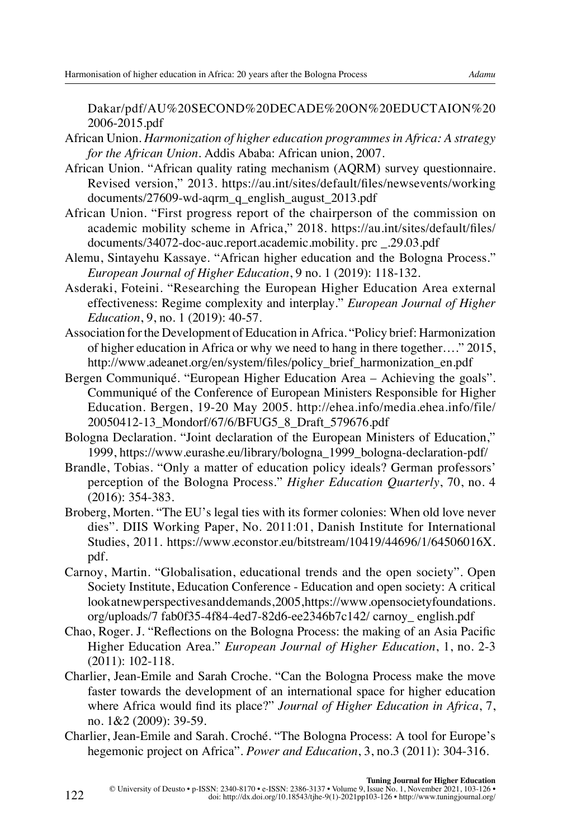[Dakar/pdf/AU%20SECOND%20DECADE%20ON%20EDUCTAION%20](http://www.unesco.org/new/fileadmin/MULTIMEDIA/FIELD/Dakar/pdf/AU%20SECOND%20DECADE%20ON%20EDUCTAION%202006-2015.pdf) [2006-2015.pdf](http://www.unesco.org/new/fileadmin/MULTIMEDIA/FIELD/Dakar/pdf/AU%20SECOND%20DECADE%20ON%20EDUCTAION%202006-2015.pdf)

- African Union. *Harmonization of higher education programmes in Africa: A strategy for the African Union*. Addis Ababa: African union, 2007.
- African Union. "African quality rating mechanism (AQRM) survey questionnaire. Revised version," 2013. [https://au.int/sites/default/files/newsevents/working](https://au.int/sites/default/files/newsevents/working%20documents/27609-wd-aqrm_q_english_august_2013.pdf)  [documents/27609-wd-aqrm\\_q\\_english\\_august\\_2013.pdf](https://au.int/sites/default/files/newsevents/working%20documents/27609-wd-aqrm_q_english_august_2013.pdf)
- African Union. "First progress report of the chairperson of the commission on academic mobility scheme in Africa," 2018. <https://au.int/sites/default/files/> documents/34072-doc-auc.report.academic.mobility. prc \_.29.03.pdf
- Alemu, Sintayehu Kassaye. "African higher education and the Bologna Process." *European Journal of Higher Education*, 9 no. 1 (2019): 118-132.
- Asderaki, Foteini. "Researching the European Higher Education Area external effectiveness: Regime complexity and interplay." *European Journal of Higher Education*, 9, no. 1 (2019): 40-57.
- Association for the Development of Education in Africa. "Policy brief: Harmonization of higher education in Africa or why we need to hang in there together…." 2015, [http://www.adeanet.org/en/system/files/policy\\_brief\\_harmonization\\_en.pdf](http://www.adeanet.org/en/system/files/policy_brief_harmonization_en.pdf)
- Bergen Communiqué. "European Higher Education Area Achieving the goals". Communiqué of the Conference of European Ministers Responsible for Higher Education. Bergen, 19-20 May 2005. [http://ehea.info/media.ehea.info/file/](http://ehea.info/media.ehea.info/file/20050412-13_Mondorf/67/6/BFUG5_8_Draft_579676.pdf) [20050412-13\\_Mondorf/67/6/BFUG5\\_8\\_Draft\\_579676.pdf](http://ehea.info/media.ehea.info/file/20050412-13_Mondorf/67/6/BFUG5_8_Draft_579676.pdf)
- Bologna Declaration. "Joint declaration of the European Ministers of Education," 1999, [https://www.eurashe.eu/library/bologna\\_1999\\_bologna-declaration-pdf/](https://www.eurashe.eu/library/bologna_1999_bologna-declaration-pdf/)
- Brandle, Tobias. "Only a matter of education policy ideals? German professors' perception of the Bologna Process." *Higher Education Quarterly*, 70, no. 4 (2016): 354-383.
- Broberg, Morten. "The EU's legal ties with its former colonies: When old love never dies". DIIS Working Paper, No. 2011:01, Danish Institute for International Studies, 2011. [https://www.econstor.eu/bitstream/10419/44696/1/64506016X.](https://www.econstor.eu/bitstream/10419/44696/1/64506016X.pdf) [pdf.](https://www.econstor.eu/bitstream/10419/44696/1/64506016X.pdf)
- Carnoy, Martin. "Globalisation, educational trends and the open society". Open Society Institute, Education Conference - Education and open society: A critical look at new perspectives and demands, 2005, [https://www.opensocietyfoundations.](https://www.opensocietyfoundations.org/uploads/7) [org/uploads/7](https://www.opensocietyfoundations.org/uploads/7) fab0f35-4f84-4ed7-82d6-ee2346b7c142/ carnoy\_ english.pdf
- Chao, Roger. J. "Reflections on the Bologna Process: the making of an Asia Pacific Higher Education Area." *European Journal of Higher Education*, 1, no. 2-3 (2011): 102-118.
- Charlier, Jean-Emile and Sarah Croche. "Can the Bologna Process make the move faster towards the development of an international space for higher education where Africa would find its place?" *Journal of Higher Education in Africa*, 7, no. 1&2 (2009): 39-59.
- Charlier, Jean-Emile and Sarah. Croché. "The Bologna Process: A tool for Europe's hegemonic project on Africa". *Power and Education*, 3, no.3 (2011): 304-316.

122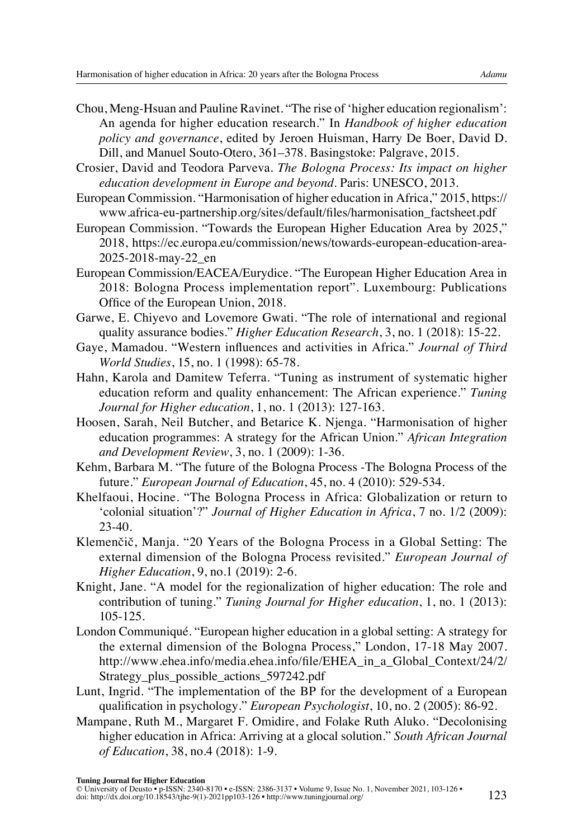- Chou, Meng-Hsuan and Pauline Ravinet. "The rise of 'higher education regionalism': An agenda for higher education research." In *Handbook of higher education policy and governance*, edited by Jeroen Huisman, Harry De Boer, David D. Dill, and Manuel Souto-Otero, 361–378. Basingstoke: Palgrave, 2015.
- Crosier, David and Teodora Parveva. *The Bologna Process: Its impact on higher education development in Europe and beyond*. Paris: UNESCO, 2013.
- European Commission. "Harmonisation of higher education in Africa," 2015, [https://](https://www.africa-eu-partnership.org/sites/default/files/harmonisation_factsheet.pdf) [www.africa-eu-partnership.org/sites/default/files/harmonisation\\_factsheet.pdf](https://www.africa-eu-partnership.org/sites/default/files/harmonisation_factsheet.pdf)
- European Commission. "Towards the European Higher Education Area by 2025," 2018, [https://ec.europa.eu/commission/news/towards-european-education-area-](https://ec.europa.eu/commission/news/towards-european-education-area-2025-2018-may-22_en)[2025-2018-may-22\\_en](https://ec.europa.eu/commission/news/towards-european-education-area-2025-2018-may-22_en)
- European Commission/EACEA/Eurydice. "The European Higher Education Area in 2018: Bologna Process implementation report". Luxembourg: Publications Office of the European Union, 2018.
- Garwe, E. Chiyevo and Lovemore Gwati. "The role of international and regional quality assurance bodies." *Higher Education Research*, 3, no. 1 (2018): 15-22.
- Gaye, Mamadou. "Western influences and activities in Africa." *Journal of Third World Studies*, 15, no. 1 (1998): 65-78.
- Hahn, Karola and Damitew Teferra. "Tuning as instrument of systematic higher education reform and quality enhancement: The African experience." *Tuning Journal for Higher education*, 1, no. 1 (2013): 127-163.
- Hoosen, Sarah, Neil Butcher, and Betarice K. Njenga. "Harmonisation of higher education programmes: A strategy for the African Union." *African Integration and Development Review*, 3, no. 1 (2009): 1-36.
- Kehm, Barbara M. "The future of the Bologna Process -The Bologna Process of the future." *European Journal of Education*, 45, no. 4 (2010): 529-534.
- Khelfaoui, Hocine. "The Bologna Process in Africa: Globalization or return to 'colonial situation'?" *Journal of Higher Education in Africa*, 7 no. 1/2 (2009): 23-40.
- Klemenčič, Manja. "20 Years of the Bologna Process in a Global Setting: The external dimension of the Bologna Process revisited." *European Journal of Higher Education*, 9, no.1 (2019): 2-6.
- Knight, Jane. "A model for the regionalization of higher education: The role and contribution of tuning." *Tuning Journal for Higher education*, 1, no. 1 (2013): 105-125.
- London Communiqué. "European higher education in a global setting: A strategy for the external dimension of the Bologna Process," London, 17-18 May 2007. [http://www.ehea.info/media.ehea.info/file/EHEA\\_in\\_a\\_Global\\_Context/24/2/](http://www.ehea.info/media.ehea.info/file/EHEA_in_a_Global_Context/24/2/Strategy_plus_possible_actions_597242.pdf) [Strategy\\_plus\\_possible\\_actions\\_597242.pdf](http://www.ehea.info/media.ehea.info/file/EHEA_in_a_Global_Context/24/2/Strategy_plus_possible_actions_597242.pdf)
- Lunt, Ingrid. "The implementation of the BP for the development of a European qualification in psychology." *European Psychologist*, 10, no. 2 (2005): 86-92.
- Mampane, Ruth M., Margaret F. Omidire, and Folake Ruth Aluko. "Decolonising higher education in Africa: Arriving at a glocal solution." *South African Journal of Education*, 38, no.4 (2018): 1-9.

**Tuning Journal for Higher Education**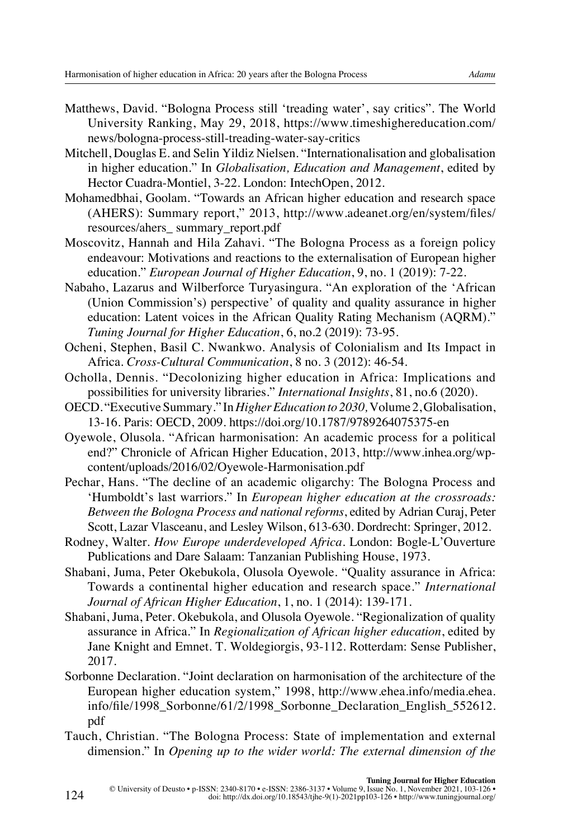- Matthews, David. "Bologna Process still 'treading water', say critics". The World University Ranking, May 29, 2018, [https://www.timeshighereducation.com/](https://www.timeshighereducation.com/news/bologna-process-still-treading-water-say-critics) [news/bologna-process-still-treading-water-say-critics](https://www.timeshighereducation.com/news/bologna-process-still-treading-water-say-critics)
- Mitchell, Douglas E. and Selin Yildiz Nielsen. "Internationalisation and globalisation in higher education." In *Globalisation, Education and Management*, edited by Hector Cuadra-Montiel, 3-22. London: IntechOpen, 2012.
- Mohamedbhai, Goolam. "Towards an African higher education and research space (AHERS): Summary report," 2013, [http://www.adeanet.org/en/system/files/](http://www.adeanet.org/en/system/files/%20resources/ahers_%20summary_report.pdf)  [resources/ahers\\_ summary\\_report.pdf](http://www.adeanet.org/en/system/files/%20resources/ahers_%20summary_report.pdf)
- Moscovitz, Hannah and Hila Zahavi. "The Bologna Process as a foreign policy endeavour: Motivations and reactions to the externalisation of European higher education." *European Journal of Higher Education*, 9, no. 1 (2019): 7-22.
- Nabaho, Lazarus and Wilberforce Turyasingura. "An exploration of the 'African (Union Commission's) perspective' of quality and quality assurance in higher education: Latent voices in the African Quality Rating Mechanism (AQRM)." *Tuning Journal for Higher Education*, 6, no.2 (2019): 73-95.
- Ocheni, Stephen, Basil C. Nwankwo. Analysis of Colonialism and Its Impact in Africa. *Cross-Cultural Communication*, 8 no. 3 (2012): 46-54.
- Ocholla, Dennis. "Decolonizing higher education in Africa: Implications and possibilities for university libraries." *International Insights*, 81, no.6 (2020).
- OECD. "Executive Summary." In *Higher Education to 2030,* Volume 2, Globalisation, 13-16. Paris: OECD, 2009. <https://doi.org/10.1787/9789264075375-en>
- Oyewole, Olusola. "African harmonisation: An academic process for a political end?" Chronicle of African Higher Education, 2013, [http://www.inhea.org/wp](http://www.inhea.org/wp-content/uploads/2016/02/Oyewole-Harmonization.pdf)[content/uploads/2016/02/Oyewole-Harmonisation.pdf](http://www.inhea.org/wp-content/uploads/2016/02/Oyewole-Harmonization.pdf)
- Pechar, Hans. "The decline of an academic oligarchy: The Bologna Process and 'Humboldt's last warriors." In *European higher education at the crossroads: Between the Bologna Process and national reforms*, edited by Adrian Curaj, Peter Scott, Lazar Vlasceanu, and Lesley Wilson, 613-630. Dordrecht: Springer, 2012.
- Rodney, Walter. *How Europe underdeveloped Africa*. London: Bogle-L'Ouverture Publications and Dare Salaam: Tanzanian Publishing House, 1973.
- Shabani, Juma, Peter Okebukola, Olusola Oyewole. "Quality assurance in Africa: Towards a continental higher education and research space." *International Journal of African Higher Education*, 1, no. 1 (2014): 139-171.
- Shabani, Juma, Peter. Okebukola, and Olusola Oyewole. "Regionalization of quality assurance in Africa." In *Regionalization of African higher education*, edited by Jane Knight and Emnet. T. Woldegiorgis, 93-112. Rotterdam: Sense Publisher, 2017.
- Sorbonne Declaration. "Joint declaration on harmonisation of the architecture of the European higher education system," 1998, [http://www.ehea.info/media.ehea.](http://www.ehea.info/media.ehea.info/file/1998_Sorbonne/61/2/1998_Sorbonne_Declaration_English_552612.pdf) [info/file/1998\\_Sorbonne/61/2/1998\\_Sorbonne\\_Declaration\\_English\\_552612.](http://www.ehea.info/media.ehea.info/file/1998_Sorbonne/61/2/1998_Sorbonne_Declaration_English_552612.pdf) [pdf](http://www.ehea.info/media.ehea.info/file/1998_Sorbonne/61/2/1998_Sorbonne_Declaration_English_552612.pdf)
- Tauch, Christian. "The Bologna Process: State of implementation and external dimension." In *Opening up to the wider world: The external dimension of the*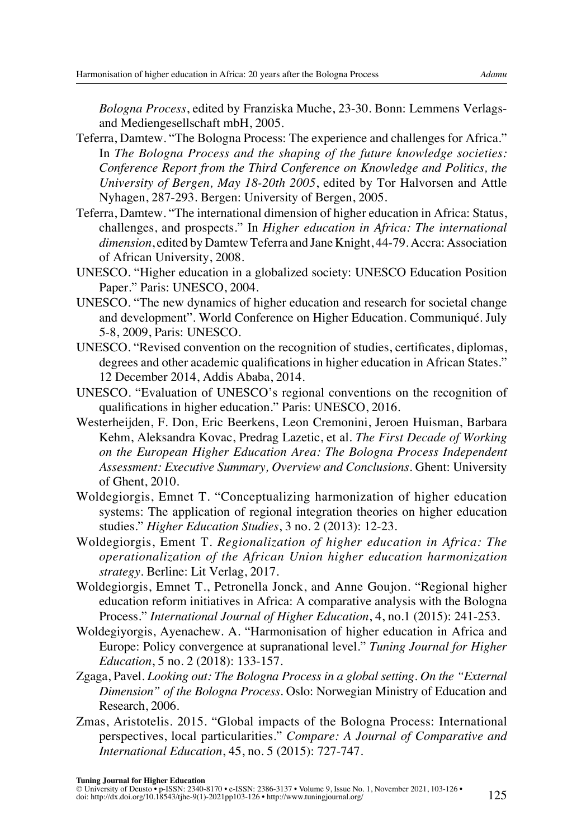*Bologna Process*, edited by Franziska Muche, 23-30. Bonn: Lemmens Verlagsand Mediengesellschaft mbH, 2005.

- Teferra, Damtew. "The Bologna Process: The experience and challenges for Africa." In *The Bologna Process and the shaping of the future knowledge societies: Conference Report from the Third Conference on Knowledge and Politics, the University of Bergen, May 18-20th 2005*, edited by Tor Halvorsen and Attle Nyhagen, 287-293. Bergen: University of Bergen, 2005.
- Teferra, Damtew. "The international dimension of higher education in Africa: Status, challenges, and prospects." In *Higher education in Africa: The international dimension*, edited by Damtew Teferra and Jane Knight, 44-79. Accra: Association of African University, 2008.
- UNESCO. "Higher education in a globalized society: UNESCO Education Position Paper." Paris: UNESCO, 2004.
- UNESCO. "The new dynamics of higher education and research for societal change and development". World Conference on Higher Education. Communiqué. July 5-8, 2009, Paris: UNESCO.
- UNESCO. "Revised convention on the recognition of studies, certificates, diplomas, degrees and other academic qualifications in higher education in African States." 12 December 2014, Addis Ababa, 2014.
- UNESCO. "Evaluation of UNESCO's regional conventions on the recognition of qualifications in higher education." Paris: UNESCO, 2016.
- Westerheijden, F. Don, Eric Beerkens, Leon Cremonini, Jeroen Huisman, Barbara Kehm, Aleksandra Kovac, Predrag Lazetic, et al. *The First Decade of Working on the European Higher Education Area: The Bologna Process Independent Assessment: Executive Summary, Overview and Conclusions*. Ghent: University of Ghent, 2010.
- Woldegiorgis, Emnet T. "Conceptualizing harmonization of higher education systems: The application of regional integration theories on higher education studies." *Higher Education Studies*, 3 no. 2 (2013): 12-23.
- Woldegiorgis, Ement T. *Regionalization of higher education in Africa: The operationalization of the African Union higher education harmonization strategy*. Berline: Lit Verlag, 2017.
- Woldegiorgis, Emnet T., Petronella Jonck, and Anne Goujon. "Regional higher education reform initiatives in Africa: A comparative analysis with the Bologna Process." *International Journal of Higher Education*, 4, no.1 (2015): 241-253.
- Woldegiyorgis, Ayenachew. A. "Harmonisation of higher education in Africa and Europe: Policy convergence at supranational level." *Tuning Journal for Higher Education*, 5 no. 2 (2018): 133-157.
- Zgaga, Pavel. *Looking out: The Bologna Process in a global setting. On the "External Dimension" of the Bologna Process*. Oslo: Norwegian Ministry of Education and Research, 2006.
- Zmas, Aristotelis. 2015. "Global impacts of the Bologna Process: International perspectives, local particularities." *Compare: A Journal of Comparative and International Education*, 45, no. 5 (2015): 727-747.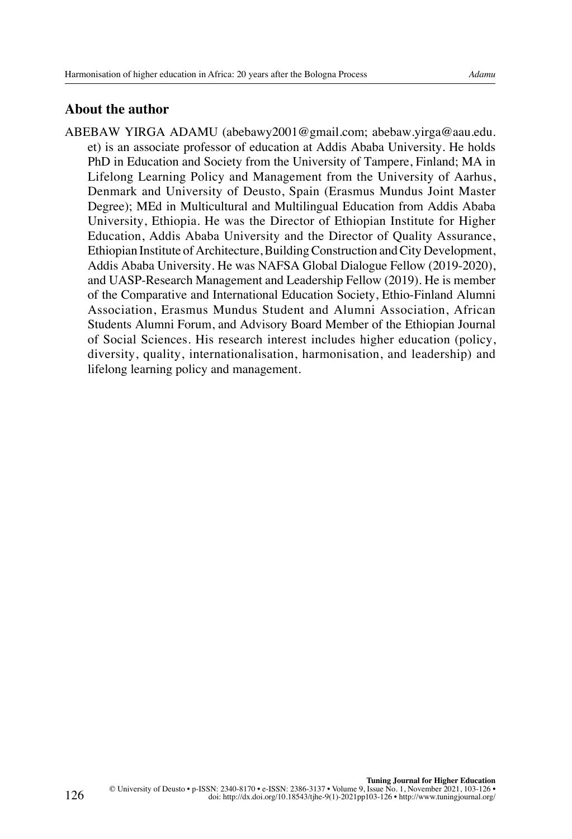## <span id="page-23-0"></span>**About the author**

ABEBAW YIRGA ADAMU ([abebawy2001@gmail.com;](mailto:abebawy2001@gmail.com) [abebaw.yirga@aau.edu.](mailto:abebaw.yirga@aau.edu.et) [et](mailto:abebaw.yirga@aau.edu.et)) is an associate professor of education at Addis Ababa University. He holds PhD in Education and Society from the University of Tampere, Finland; MA in Lifelong Learning Policy and Management from the University of Aarhus, Denmark and University of Deusto, Spain (Erasmus Mundus Joint Master Degree); MEd in Multicultural and Multilingual Education from Addis Ababa University, Ethiopia. He was the Director of Ethiopian Institute for Higher Education, Addis Ababa University and the Director of Quality Assurance, Ethiopian Institute of Architecture, Building Construction and City Development, Addis Ababa University. He was NAFSA Global Dialogue Fellow (2019-2020), and UASP-Research Management and Leadership Fellow (2019). He is member of the Comparative and International Education Society, Ethio-Finland Alumni Association, Erasmus Mundus Student and Alumni Association, African Students Alumni Forum, and Advisory Board Member of the Ethiopian Journal of Social Sciences. His research interest includes higher education (policy, diversity, quality, internationalisation, harmonisation, and leadership) and lifelong learning policy and management.